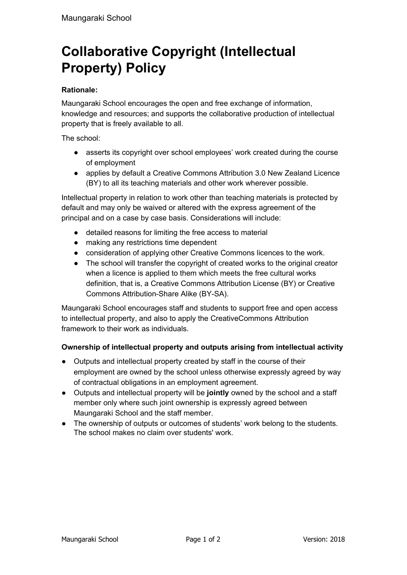# **Collaborative Copyright (Intellectual Property) Policy**

## **Rationale:**

Maungaraki School encourages the open and free exchange of information, knowledge and resources; and supports the collaborative production of intellectual property that is freely available to all.

The school:

- asserts its copyright over school employees' work created during the course of employment
- applies by default a Creative Commons Attribution 3.0 New Zealand Licence (BY) to all its teaching materials and other work wherever possible.

Intellectual property in relation to work other than teaching materials is protected by default and may only be waived or altered with the express agreement of the principal and on a case by case basis. Considerations will include:

- detailed reasons for limiting the free access to material
- making any restrictions time dependent
- consideration of applying other Creative Commons licences to the work.
- The school will transfer the copyright of created works to the original creator when a licence is applied to them which meets the free cultural works definition, that is, a Creative Commons Attribution License (BY) or Creative Commons Attribution-Share Alike (BY-SA).

Maungaraki School encourages staff and students to support free and open access to intellectual property, and also to apply the CreativeCommons Attribution framework to their work as individuals.

## **Ownership of intellectual property and outputs arising from intellectual activity**

- Outputs and intellectual property created by staff in the course of their employment are owned by the school unless otherwise expressly agreed by way of contractual obligations in an employment agreement.
- Outputs and intellectual property will be **jointly** owned by the school and a staff member only where such joint ownership is expressly agreed between Maungaraki School and the staff member.
- The ownership of outputs or outcomes of students' work belong to the students. The school makes no claim over students' work.